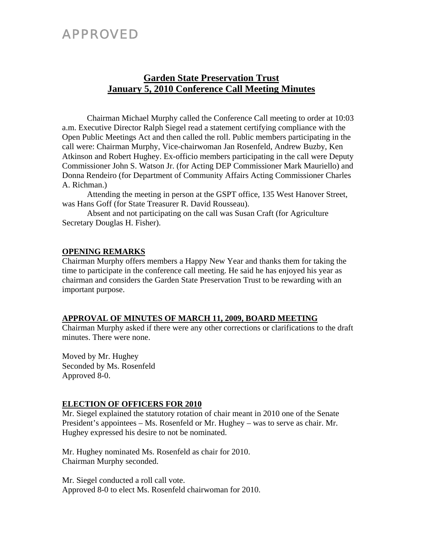# APPROVED

# **Garden State Preservation Trust January 5, 2010 Conference Call Meeting Minutes**

Chairman Michael Murphy called the Conference Call meeting to order at 10:03 a.m. Executive Director Ralph Siegel read a statement certifying compliance with the Open Public Meetings Act and then called the roll. Public members participating in the call were: Chairman Murphy, Vice-chairwoman Jan Rosenfeld, Andrew Buzby, Ken Atkinson and Robert Hughey. Ex-officio members participating in the call were Deputy Commissioner John S. Watson Jr. (for Acting DEP Commissioner Mark Mauriello) and Donna Rendeiro (for Department of Community Affairs Acting Commissioner Charles A. Richman.)

Attending the meeting in person at the GSPT office, 135 West Hanover Street, was Hans Goff (for State Treasurer R. David Rousseau).

Absent and not participating on the call was Susan Craft (for Agriculture Secretary Douglas H. Fisher).

#### **OPENING REMARKS**

Chairman Murphy offers members a Happy New Year and thanks them for taking the time to participate in the conference call meeting. He said he has enjoyed his year as chairman and considers the Garden State Preservation Trust to be rewarding with an important purpose.

## **APPROVAL OF MINUTES OF MARCH 11, 2009, BOARD MEETING**

Chairman Murphy asked if there were any other corrections or clarifications to the draft minutes. There were none.

Moved by Mr. Hughey Seconded by Ms. Rosenfeld Approved 8-0.

## **ELECTION OF OFFICERS FOR 2010**

Mr. Siegel explained the statutory rotation of chair meant in 2010 one of the Senate President's appointees – Ms. Rosenfeld or Mr. Hughey – was to serve as chair. Mr. Hughey expressed his desire to not be nominated.

Mr. Hughey nominated Ms. Rosenfeld as chair for 2010. Chairman Murphy seconded.

Mr. Siegel conducted a roll call vote. Approved 8-0 to elect Ms. Rosenfeld chairwoman for 2010.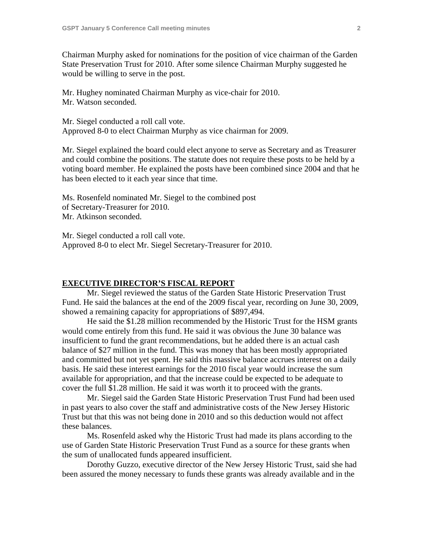Chairman Murphy asked for nominations for the position of vice chairman of the Garden State Preservation Trust for 2010. After some silence Chairman Murphy suggested he would be willing to serve in the post.

Mr. Hughey nominated Chairman Murphy as vice-chair for 2010. Mr. Watson seconded.

Mr. Siegel conducted a roll call vote. Approved 8-0 to elect Chairman Murphy as vice chairman for 2009.

Mr. Siegel explained the board could elect anyone to serve as Secretary and as Treasurer and could combine the positions. The statute does not require these posts to be held by a voting board member. He explained the posts have been combined since 2004 and that he has been elected to it each year since that time.

Ms. Rosenfeld nominated Mr. Siegel to the combined post of Secretary-Treasurer for 2010. Mr. Atkinson seconded.

Mr. Siegel conducted a roll call vote. Approved 8-0 to elect Mr. Siegel Secretary-Treasurer for 2010.

#### **EXECUTIVE DIRECTOR'S FISCAL REPORT**

 Mr. Siegel reviewed the status of the Garden State Historic Preservation Trust Fund. He said the balances at the end of the 2009 fiscal year, recording on June 30, 2009, showed a remaining capacity for appropriations of \$897,494.

 He said the \$1.28 million recommended by the Historic Trust for the HSM grants would come entirely from this fund. He said it was obvious the June 30 balance was insufficient to fund the grant recommendations, but he added there is an actual cash balance of \$27 million in the fund. This was money that has been mostly appropriated and committed but not yet spent. He said this massive balance accrues interest on a daily basis. He said these interest earnings for the 2010 fiscal year would increase the sum available for appropriation, and that the increase could be expected to be adequate to cover the full \$1.28 million. He said it was worth it to proceed with the grants.

 Mr. Siegel said the Garden State Historic Preservation Trust Fund had been used in past years to also cover the staff and administrative costs of the New Jersey Historic Trust but that this was not being done in 2010 and so this deduction would not affect these balances.

 Ms. Rosenfeld asked why the Historic Trust had made its plans according to the use of Garden State Historic Preservation Trust Fund as a source for these grants when the sum of unallocated funds appeared insufficient.

 Dorothy Guzzo, executive director of the New Jersey Historic Trust, said she had been assured the money necessary to funds these grants was already available and in the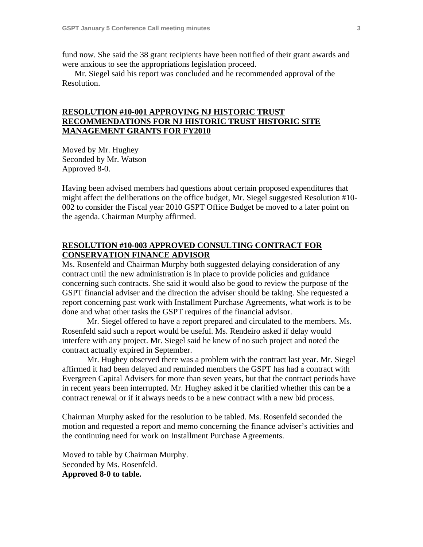fund now. She said the 38 grant recipients have been notified of their grant awards and were anxious to see the appropriations legislation proceed.

Mr. Siegel said his report was concluded and he recommended approval of the Resolution.

### **RESOLUTION #10-001 APPROVING NJ HISTORIC TRUST RECOMMENDATIONS FOR NJ HISTORIC TRUST HISTORIC SITE MANAGEMENT GRANTS FOR FY2010**

Moved by Mr. Hughey Seconded by Mr. Watson Approved 8-0.

Having been advised members had questions about certain proposed expenditures that might affect the deliberations on the office budget, Mr. Siegel suggested Resolution #10- 002 to consider the Fiscal year 2010 GSPT Office Budget be moved to a later point on the agenda. Chairman Murphy affirmed.

#### **RESOLUTION #10-003 APPROVED CONSULTING CONTRACT FOR CONSERVATION FINANCE ADVISOR**

Ms. Rosenfeld and Chairman Murphy both suggested delaying consideration of any contract until the new administration is in place to provide policies and guidance concerning such contracts. She said it would also be good to review the purpose of the GSPT financial adviser and the direction the adviser should be taking. She requested a report concerning past work with Installment Purchase Agreements, what work is to be done and what other tasks the GSPT requires of the financial advisor.

 Mr. Siegel offered to have a report prepared and circulated to the members. Ms. Rosenfeld said such a report would be useful. Ms. Rendeiro asked if delay would interfere with any project. Mr. Siegel said he knew of no such project and noted the contract actually expired in September.

 Mr. Hughey observed there was a problem with the contract last year. Mr. Siegel affirmed it had been delayed and reminded members the GSPT has had a contract with Evergreen Capital Advisers for more than seven years, but that the contract periods have in recent years been interrupted. Mr. Hughey asked it be clarified whether this can be a contract renewal or if it always needs to be a new contract with a new bid process.

Chairman Murphy asked for the resolution to be tabled. Ms. Rosenfeld seconded the motion and requested a report and memo concerning the finance adviser's activities and the continuing need for work on Installment Purchase Agreements.

Moved to table by Chairman Murphy. Seconded by Ms. Rosenfeld. **Approved 8-0 to table.**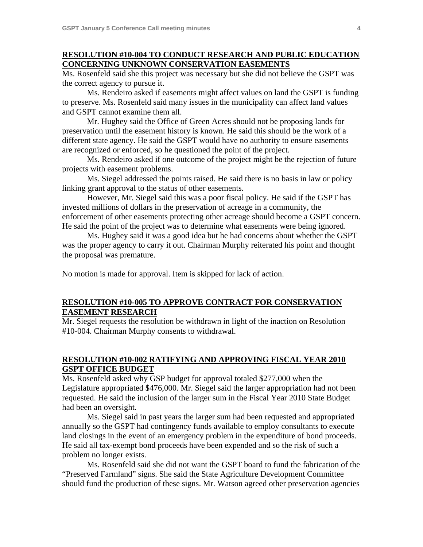#### **RESOLUTION #10-004 TO CONDUCT RESEARCH AND PUBLIC EDUCATION CONCERNING UNKNOWN CONSERVATION EASEMENTS**

Ms. Rosenfeld said she this project was necessary but she did not believe the GSPT was the correct agency to pursue it.

 Ms. Rendeiro asked if easements might affect values on land the GSPT is funding to preserve. Ms. Rosenfeld said many issues in the municipality can affect land values and GSPT cannot examine them all.

 Mr. Hughey said the Office of Green Acres should not be proposing lands for preservation until the easement history is known. He said this should be the work of a different state agency. He said the GSPT would have no authority to ensure easements are recognized or enforced, so he questioned the point of the project.

 Ms. Rendeiro asked if one outcome of the project might be the rejection of future projects with easement problems.

 Ms. Siegel addressed the points raised. He said there is no basis in law or policy linking grant approval to the status of other easements.

 However, Mr. Siegel said this was a poor fiscal policy. He said if the GSPT has invested millions of dollars in the preservation of acreage in a community, the enforcement of other easements protecting other acreage should become a GSPT concern. He said the point of the project was to determine what easements were being ignored.

 Ms. Hughey said it was a good idea but he had concerns about whether the GSPT was the proper agency to carry it out. Chairman Murphy reiterated his point and thought the proposal was premature.

No motion is made for approval. Item is skipped for lack of action.

#### **RESOLUTION #10-005 TO APPROVE CONTRACT FOR CONSERVATION EASEMENT RESEARCH**

Mr. Siegel requests the resolution be withdrawn in light of the inaction on Resolution #10-004. Chairman Murphy consents to withdrawal.

#### **RESOLUTION #10-002 RATIFYING AND APPROVING FISCAL YEAR 2010 GSPT OFFICE BUDGET**

Ms. Rosenfeld asked why GSP budget for approval totaled \$277,000 when the Legislature appropriated \$476,000. Mr. Siegel said the larger appropriation had not been requested. He said the inclusion of the larger sum in the Fiscal Year 2010 State Budget had been an oversight.

 Ms. Siegel said in past years the larger sum had been requested and appropriated annually so the GSPT had contingency funds available to employ consultants to execute land closings in the event of an emergency problem in the expenditure of bond proceeds. He said all tax-exempt bond proceeds have been expended and so the risk of such a problem no longer exists.

 Ms. Rosenfeld said she did not want the GSPT board to fund the fabrication of the "Preserved Farmland" signs. She said the State Agriculture Development Committee should fund the production of these signs. Mr. Watson agreed other preservation agencies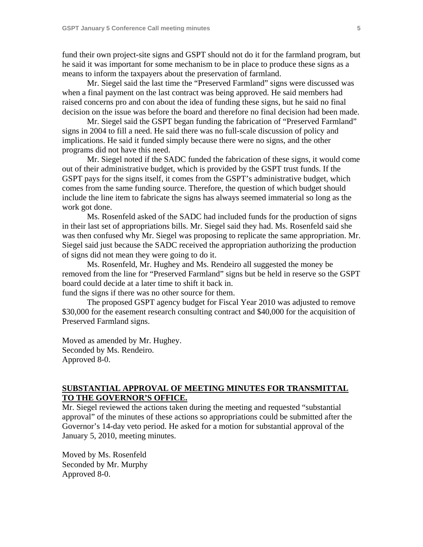fund their own project-site signs and GSPT should not do it for the farmland program, but he said it was important for some mechanism to be in place to produce these signs as a means to inform the taxpayers about the preservation of farmland.

 Mr. Siegel said the last time the "Preserved Farmland" signs were discussed was when a final payment on the last contract was being approved. He said members had raised concerns pro and con about the idea of funding these signs, but he said no final decision on the issue was before the board and therefore no final decision had been made.

 Mr. Siegel said the GSPT began funding the fabrication of "Preserved Farmland" signs in 2004 to fill a need. He said there was no full-scale discussion of policy and implications. He said it funded simply because there were no signs, and the other programs did not have this need.

 Mr. Siegel noted if the SADC funded the fabrication of these signs, it would come out of their administrative budget, which is provided by the GSPT trust funds. If the GSPT pays for the signs itself, it comes from the GSPT's administrative budget, which comes from the same funding source. Therefore, the question of which budget should include the line item to fabricate the signs has always seemed immaterial so long as the work got done.

 Ms. Rosenfeld asked of the SADC had included funds for the production of signs in their last set of appropriations bills. Mr. Siegel said they had. Ms. Rosenfeld said she was then confused why Mr. Siegel was proposing to replicate the same appropriation. Mr. Siegel said just because the SADC received the appropriation authorizing the production of signs did not mean they were going to do it.

 Ms. Rosenfeld, Mr. Hughey and Ms. Rendeiro all suggested the money be removed from the line for "Preserved Farmland" signs but be held in reserve so the GSPT board could decide at a later time to shift it back in.

fund the signs if there was no other source for them.

 The proposed GSPT agency budget for Fiscal Year 2010 was adjusted to remove \$30,000 for the easement research consulting contract and \$40,000 for the acquisition of Preserved Farmland signs.

Moved as amended by Mr. Hughey. Seconded by Ms. Rendeiro. Approved 8-0.

#### **SUBSTANTIAL APPROVAL OF MEETING MINUTES FOR TRANSMITTAL TO THE GOVERNOR'S OFFICE.**

Mr. Siegel reviewed the actions taken during the meeting and requested "substantial approval" of the minutes of these actions so appropriations could be submitted after the Governor's 14-day veto period. He asked for a motion for substantial approval of the January 5, 2010, meeting minutes.

Moved by Ms. Rosenfeld Seconded by Mr. Murphy Approved 8-0.